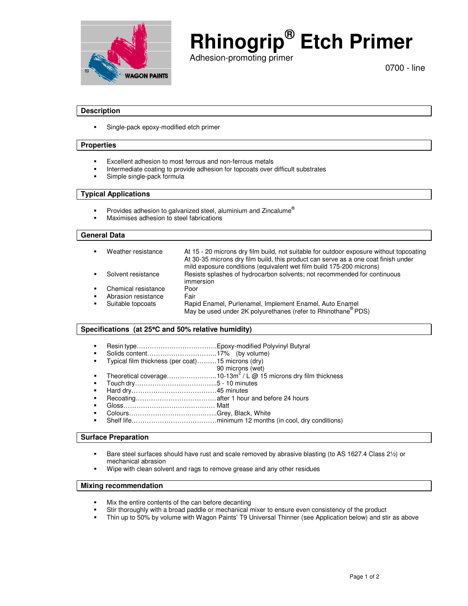

# **Rhinogrip® Etch Primer**

Adhesion-promoting primer

0700 - line

### **Description**

**Single-pack epoxy-modified etch primer** 

#### **Properties**

- Excellent adhesion to most ferrous and non-ferrous metals
- **Intermediate coating to provide adhesion for topcoats over difficult substrates**
- Simple single-pack formula

# **Typical Applications**

- Provides adhesion to galvanized steel, aluminium and Zincalume®
- **Maximises adhesion to steel fabrications**

# **General Data**

| <b>п.</b>                 | Weather resistance  | At 15 - 20 microns dry film build, not suitable for outdoor exposure without topcoating<br>At 30-35 microns dry film build, this product can serve as a one coat finish under<br>mild exposure conditions (equivalent wet film build 175-200 microns) |
|---------------------------|---------------------|-------------------------------------------------------------------------------------------------------------------------------------------------------------------------------------------------------------------------------------------------------|
|                           | Solvent resistance  | Resists splashes of hydrocarbon solvents; not recommended for continuous<br>immersion                                                                                                                                                                 |
| $\mathbf{H}^{\text{max}}$ | Chemical resistance | Poor                                                                                                                                                                                                                                                  |
| $\blacksquare$            | Abrasion resistance | Fair                                                                                                                                                                                                                                                  |
| $\mathbf{r}$              | Suitable topcoats   | Rapid Enamel, Purlenamel, Implement Enamel, Auto Enamel<br>May be used under 2K polyurethanes (refer to Rhinothane <sup>®</sup> PDS)                                                                                                                  |

#### **Specifications (at 25**°**C and 50% relative humidity)**

- Resin type……………………………….Epoxy-modified Polyvinyl Butyral
- Solids content………………………….. 17% (by volume)
- Typical film thickness (per coat)………15 microns (dry)
	- 90 microns (wet)
- Theoretical coverage......................... 10-13m<sup>2</sup> / L @ 15 microns dry film thickness
- Touch dry………………………………..5 10 minutes
- Hard dry………………………………… 45 minutes
- Recoating………………………………. after 1 hour and before 24 hours
- Gloss…………………………………… Matt
- Colours…………………………………..Grey, Black, White
- Shelf life………………………………… minimum 12 months (in cool, dry conditions)

#### **Surface Preparation**

- Bare steel surfaces should have rust and scale removed by abrasive blasting (to AS 1627.4 Class 21/2) or mechanical abrasion
- Wipe with clean solvent and rags to remove grease and any other residues

#### **Mixing recommendation**

- Mix the entire contents of the can before decanting
- Stir thoroughly with a broad paddle or mechanical mixer to ensure even consistency of the product<br>Fig. 1.1 Thin up to 50% by volume with Wagon Paints' T9 Universal Thinner (see Application below) and sti
- Thin up to 50% by volume with Wagon Paints' T9 Universal Thinner (see Application below) and stir as above